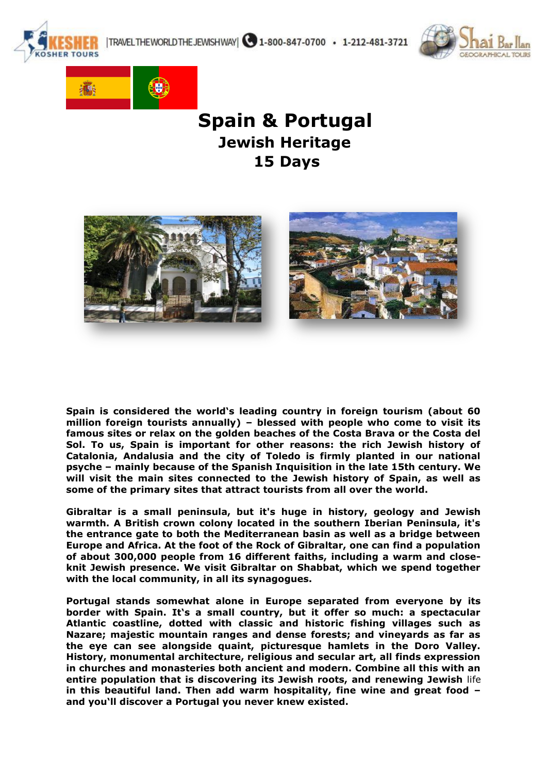|TRAVELTHEWORLDTHEJEWISHWAY| 31-800-847-0700 · 1-212-481-3721





# **Spain & Portugal Jewish Heritage 15 Days**



**Spain is considered the world's leading country in foreign tourism (about 60 million foreign tourists annually) – blessed with people who come to visit its famous sites or relax on the golden beaches of the Costa Brava or the Costa del Sol. To us, Spain is important for other reasons: the rich Jewish history of Catalonia, Andalusia and the city of Toledo is firmly planted in our national psyche – mainly because of the Spanish Inquisition in the late 15th century. We will visit the main sites connected to the Jewish history of Spain, as well as some of the primary sites that attract tourists from all over the world.**

**Gibraltar is a small peninsula, but it's huge in history, geology and Jewish warmth. A British crown colony located in the southern Iberian Peninsula, it's the entrance gate to both the Mediterranean basin as well as a bridge between Europe and Africa. At the foot of the Rock of Gibraltar, one can find a population of about 300,000 people from 16 different faiths, including a warm and closeknit Jewish presence. We visit Gibraltar on Shabbat, which we spend together with the local community, in all its synagogues.**

**Portugal stands somewhat alone in Europe separated from everyone by its border with Spain. It's a small country, but it offer so much: a spectacular Atlantic coastline, dotted with classic and historic fishing villages such as Nazare; majestic mountain ranges and dense forests; and vineyards as far as the eye can see alongside quaint, picturesque hamlets in the Doro Valley. History, monumental architecture, religious and secular art, all finds expression in churches and monasteries both ancient and modern. Combine all this with an entire population that is discovering its Jewish roots, and renewing Jewish** life **in this beautiful land. Then add warm hospitality, fine wine and great food – and you'll discover a Portugal you never knew existed.**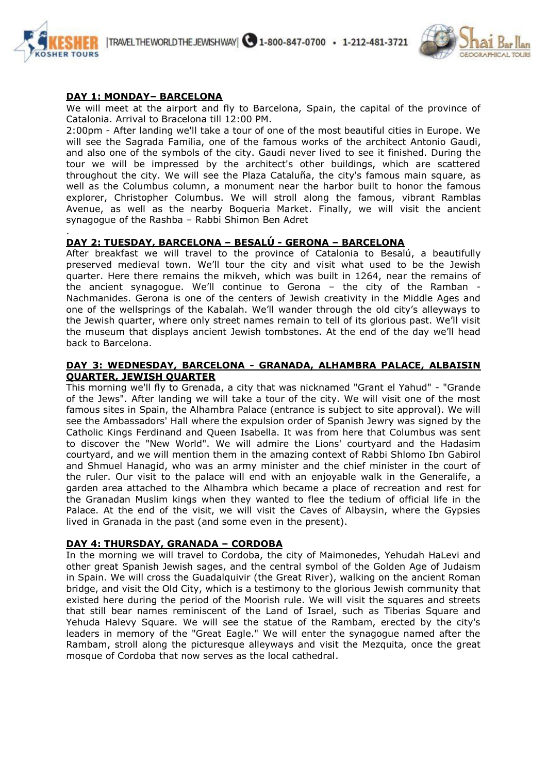



## **DAY 1: MONDAY– BARCELONA**

We will meet at the airport and fly to Barcelona, Spain, the capital of the province of Catalonia. Arrival to Bracelona till 12:00 PM.

2:00pm - After landing we'll take a tour of one of the most beautiful cities in Europe. We will see the Sagrada Familia, one of the famous works of the architect Antonio Gaudi, and also one of the symbols of the city. Gaudi never lived to see it finished. During the tour we will be impressed by the architect's other buildings, which are scattered throughout the city. We will see the Plaza Cataluña, the city's famous main square, as well as the Columbus column, a monument near the harbor built to honor the famous explorer, Christopher Columbus. We will stroll along the famous, vibrant Ramblas Avenue, as well as the nearby Boqueria Market. Finally, we will visit the ancient synagogue of the Rashba – Rabbi Shimon Ben Adret

#### . **DAY 2: TUESDAY, BARCELONA – BESALÚ - GERONA – BARCELONA**

After breakfast we will travel to the province of Catalonia to Besalú, a beautifully preserved medieval town. We'll tour the city and visit what used to be the Jewish quarter. Here there remains the mikveh, which was built in 1264, near the remains of the ancient synagogue. We'll continue to Gerona – the city of the Ramban - Nachmanides. Gerona is one of the centers of Jewish creativity in the Middle Ages and one of the wellsprings of the Kabalah. We'll wander through the old city's alleyways to the Jewish quarter, where only street names remain to tell of its glorious past. We'll visit the museum that displays ancient Jewish tombstones. At the end of the day we'll head back to Barcelona.

#### **DAY 3: WEDNESDAY, BARCELONA - GRANADA, ALHAMBRA PALACE, ALBAISIN QUARTER, JEWISH QUARTER**

This morning we'll fly to Grenada, a city that was nicknamed "Grant el Yahud" - "Grande of the Jews". After landing we will take a tour of the city. We will visit one of the most famous sites in Spain, the Alhambra Palace (entrance is subject to site approval). We will see the Ambassadors' Hall where the expulsion order of Spanish Jewry was signed by the Catholic Kings Ferdinand and Queen Isabella. It was from here that Columbus was sent to discover the "New World". We will admire the Lions' courtyard and the Hadasim courtyard, and we will mention them in the amazing context of Rabbi Shlomo Ibn Gabirol and Shmuel Hanagid, who was an army minister and the chief minister in the court of the ruler. Our visit to the palace will end with an enjoyable walk in the Generalife, a garden area attached to the Alhambra which became a place of recreation and rest for the Granadan Muslim kings when they wanted to flee the tedium of official life in the Palace. At the end of the visit, we will visit the Caves of Albaysin, where the Gypsies lived in Granada in the past (and some even in the present).

#### **DAY 4: THURSDAY, GRANADA – CORDOBA**

In the morning we will travel to Cordoba, the city of Maimonedes, Yehudah HaLevi and other great Spanish Jewish sages, and the central symbol of the Golden Age of Judaism in Spain. We will cross the Guadalquivir (the Great River), walking on the ancient Roman bridge, and visit the Old City, which is a testimony to the glorious Jewish community that existed here during the period of the Moorish rule. We will visit the squares and streets that still bear names reminiscent of the Land of Israel, such as Tiberias Square and Yehuda Halevy Square. We will see the statue of the Rambam, erected by the city's leaders in memory of the "Great Eagle." We will enter the synagogue named after the Rambam, stroll along the picturesque alleyways and visit the Mezquita, once the great mosque of Cordoba that now serves as the local cathedral.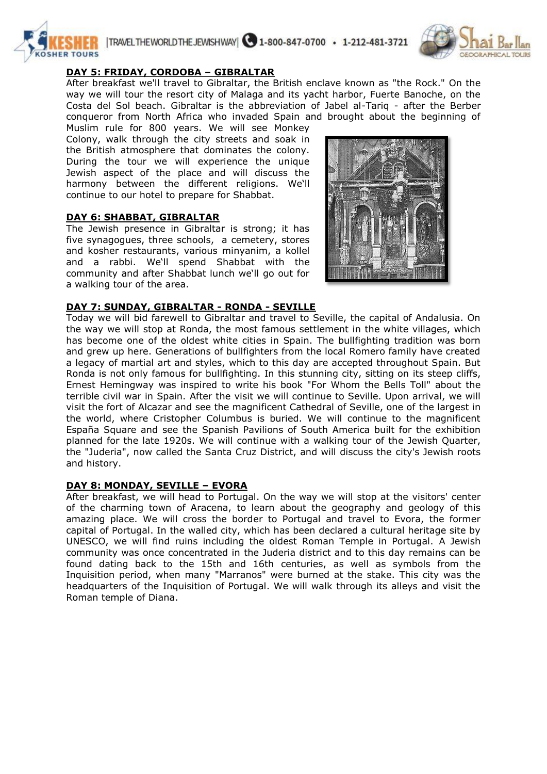



## **DAY 5: FRIDAY, CORDOBA – GIBRALTAR**

After breakfast we'll travel to Gibraltar, the British enclave known as "the Rock." On the way we will tour the resort city of Malaga and its yacht harbor, Fuerte Banoche, on the Costa del Sol beach. Gibraltar is the abbreviation of Jabel al-Tariq - after the Berber conqueror from North Africa who invaded Spain and brought about the beginning of

Muslim rule for 800 years. We will see Monkey Colony, walk through the city streets and soak in the British atmosphere that dominates the colony. During the tour we will experience the unique Jewish aspect of the place and will discuss the harmony between the different religions. We'll continue to our hotel to prepare for Shabbat.

## **DAY 6: SHABBAT, GIBRALTAR**

The Jewish presence in Gibraltar is strong; it has five synagogues, three schools, a cemetery, stores and kosher restaurants, various minyanim, a kollel and a rabbi. We'll spend Shabbat with the community and after Shabbat lunch we'll go out for a walking tour of the area.



## **DAY 7: SUNDAY, GIBRALTAR - RONDA - SEVILLE**

Today we will bid farewell to Gibraltar and travel to Seville, the capital of Andalusia. On the way we will stop at Ronda, the most famous settlement in the white villages, which has become one of the oldest white cities in Spain. The bullfighting tradition was born and grew up here. Generations of bullfighters from the local Romero family have created a legacy of martial art and styles, which to this day are accepted throughout Spain. But Ronda is not only famous for bullfighting. In this stunning city, sitting on its steep cliffs, Ernest Hemingway was inspired to write his book "For Whom the Bells Toll" about the terrible civil war in Spain. After the visit we will continue to Seville. Upon arrival, we will visit the fort of Alcazar and see the magnificent Cathedral of Seville, one of the largest in the world, where Cristopher Columbus is buried. We will continue to the magnificent España Square and see the Spanish Pavilions of South America built for the exhibition planned for the late 1920s. We will continue with a walking tour of the Jewish Quarter, the "Juderia", now called the Santa Cruz District, and will discuss the city's Jewish roots and history.

## **DAY 8: MONDAY, SEVILLE – EVORA**

After breakfast, we will head to Portugal. On the way we will stop at the visitors' center of the charming town of Aracena, to learn about the geography and geology of this amazing place. We will cross the border to Portugal and travel to Evora, the former capital of Portugal. In the walled city, which has been declared a cultural heritage site by UNESCO, we will find ruins including the oldest Roman Temple in Portugal. A Jewish community was once concentrated in the Juderia district and to this day remains can be found dating back to the 15th and 16th centuries, as well as symbols from the Inquisition period, when many "Marranos" were burned at the stake. This city was the headquarters of the Inquisition of Portugal. We will walk through its alleys and visit the Roman temple of Diana.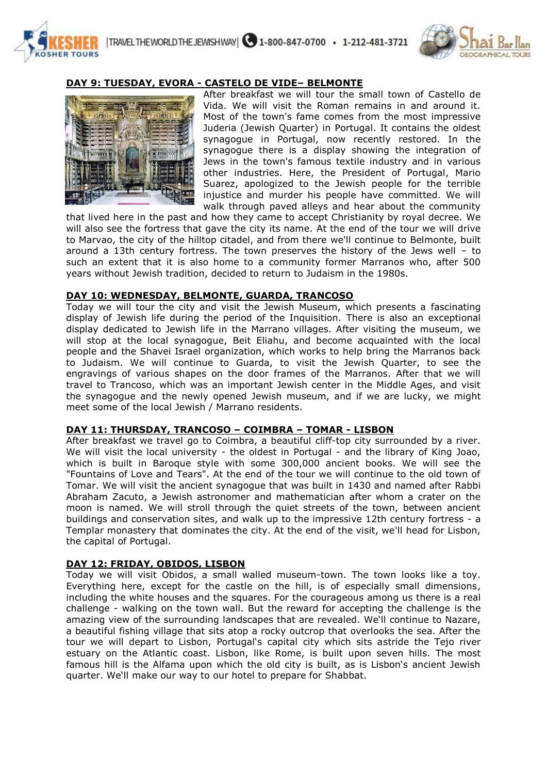



## **DAY 9: TUESDAY, EVORA - CASTELO DE VIDE– BELMONTE**



After breakfast we will tour the small town of Castello de Vida. We will visit the Roman remains in and around it. Most of the town's fame comes from the most impressive Juderia (Jewish Quarter) in Portugal. It contains the oldest synagogue in Portugal, now recently restored. In the synagogue there is a display showing the integration of Jews in the town's famous textile industry and in various other industries. Here, the President of Portugal, Mario Suarez, apologized to the Jewish people for the terrible injustice and murder his people have committed. We will walk through paved alleys and hear about the community

that lived here in the past and how they came to accept Christianity by royal decree. We will also see the fortress that gave the city its name. At the end of the tour we will drive to Marvao, the city of the hilltop citadel, and from there we'll continue to Belmonte, built around a 13th century fortress. The town preserves the history of the Jews well – to such an extent that it is also home to a community former Marranos who, after 500 years without Jewish tradition, decided to return to Judaism in the 1980s.

#### **DAY 10: WEDNESDAY, BELMONTE, GUARDA, TRANCOSO**

Today we will tour the city and visit the Jewish Museum, which presents a fascinating display of Jewish life during the period of the Inquisition. There is also an exceptional display dedicated to Jewish life in the Marrano villages. After visiting the museum, we will stop at the local synagogue, Beit Eliahu, and become acquainted with the local people and the Shavei Israel organization, which works to help bring the Marranos back to Judaism. We will continue to Guarda, to visit the Jewish Quarter, to see the engravings of various shapes on the door frames of the Marranos. After that we will travel to Trancoso, which was an important Jewish center in the Middle Ages, and visit the synagogue and the newly opened Jewish museum, and if we are lucky, we might meet some of the local Jewish / Marrano residents.

#### **DAY 11: THURSDAY, TRANCOSO – COIMBRA – TOMAR - LISBON**

After breakfast we travel go to Coimbra, a beautiful cliff-top city surrounded by a river. We will visit the local university - the oldest in Portugal - and the library of King Joao, which is built in Baroque style with some 300,000 ancient books. We will see the "Fountains of Love and Tears". At the end of the tour we will continue to the old town of Tomar. We will visit the ancient synagogue that was built in 1430 and named after Rabbi Abraham Zacuto, a Jewish astronomer and mathematician after whom a crater on the moon is named. We will stroll through the quiet streets of the town, between ancient buildings and conservation sites, and walk up to the impressive 12th century fortress - a Templar monastery that dominates the city. At the end of the visit, we'll head for Lisbon, the capital of Portugal.

#### **DAY 12: FRIDAY, OBIDOS, LISBON**

Today we will visit Obidos, a small walled museum-town. The town looks like a toy. Everything here, except for the castle on the hill, is of especially small dimensions, including the white houses and the squares. For the courageous among us there is a real challenge - walking on the town wall. But the reward for accepting the challenge is the amazing view of the surrounding landscapes that are revealed. We'll continue to Nazare, a beautiful fishing village that sits atop a rocky outcrop that overlooks the sea. After the tour we will depart to Lisbon, Portugal's capital city which sits astride the Tejo river estuary on the Atlantic coast. Lisbon, like Rome, is built upon seven hills. The most famous hill is the Alfama upon which the old city is built, as is Lisbon's ancient Jewish quarter. We'll make our way to our hotel to prepare for Shabbat.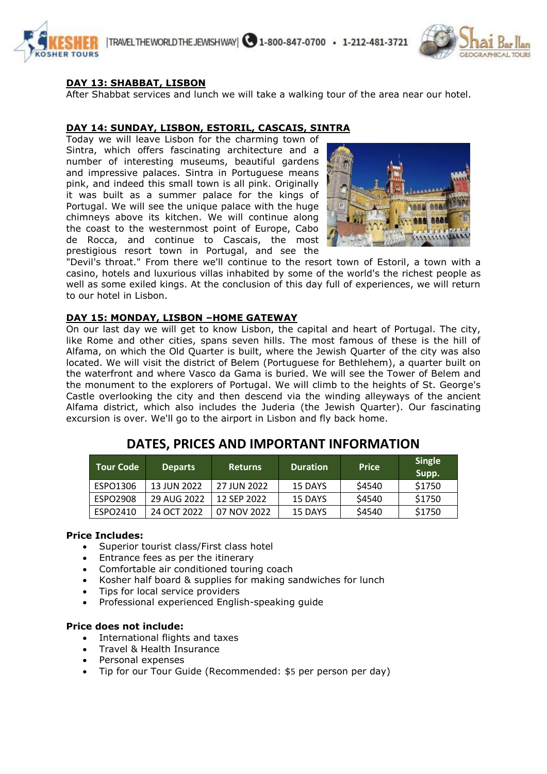



## **DAY 13: SHABBAT, LISBON**

After Shabbat services and lunch we will take a walking tour of the area near our hotel.

#### **DAY 14: SUNDAY, LISBON, ESTORIL, CASCAIS, SINTRA**

Today we will leave Lisbon for the charming town of Sintra, which offers fascinating architecture and a number of interesting museums, beautiful gardens and impressive palaces. Sintra in Portuguese means pink, and indeed this small town is all pink. Originally it was built as a summer palace for the kings of Portugal. We will see the unique palace with the huge chimneys above its kitchen. We will continue along the coast to the westernmost point of Europe, Cabo de Rocca, and continue to Cascais, the most prestigious resort town in Portugal, and see the



"Devil's throat." From there we'll continue to the resort town of Estoril, a town with a casino, hotels and luxurious villas inhabited by some of the world's the richest people as well as some exiled kings. At the conclusion of this day full of experiences, we will return to our hotel in Lisbon.

## **DAY 15: MONDAY, LISBON –HOME GATEWAY**

On our last day we will get to know Lisbon, the capital and heart of Portugal. The city, like Rome and other cities, spans seven hills. The most famous of these is the hill of Alfama, on which the Old Quarter is built, where the Jewish Quarter of the city was also located. We will visit the district of Belem (Portuguese for Bethlehem), a quarter built on the waterfront and where Vasco da Gama is buried. We will see the Tower of Belem and the monument to the explorers of Portugal. We will climb to the heights of St. George's Castle overlooking the city and then descend via the winding alleyways of the ancient Alfama district, which also includes the Juderia (the Jewish Quarter). Our fascinating excursion is over. We'll go to the airport in Lisbon and fly back home.

| l Tour Code i | <b>Departs</b> | <b>Returns</b> | <b>Duration</b> | <b>Price</b> | <b>Single</b><br>Supp. |
|---------------|----------------|----------------|-----------------|--------------|------------------------|
| ESPO1306      | 13 JUN 2022    | 27 JUN 2022    | 15 DAYS         | \$4540       | \$1750                 |
| ESPO2908      | 29 AUG 2022    | 12 SFP 2022    | 15 DAYS         | \$4540       | \$1750                 |
| ESPO2410      | 24 OCT 2022    | 07 NOV 2022    | 15 DAYS         | \$4540       | \$1750                 |

# **DATES, PRICES AND IMPORTANT INFORMATION**

#### **Price Includes:**

- Superior tourist class/First class hotel
- Entrance fees as per the itinerary
- Comfortable air conditioned touring coach
- Kosher half board & supplies for making sandwiches for lunch
- Tips for local service providers
- Professional experienced English-speaking guide

#### **Price does not include:**

- International flights and taxes
- Travel & Health Insurance
- Personal expenses
- Tip for our Tour Guide (Recommended: \$5 per person per day)